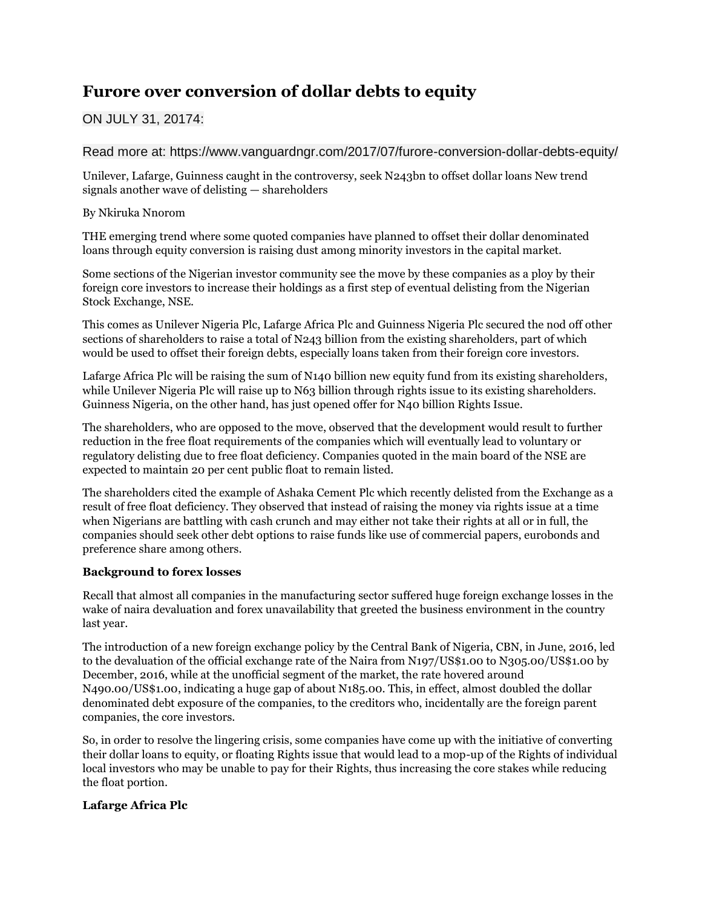# **Furore over conversion of dollar debts to equity**

## ON JULY 31, 20174:

Read more at: https://www.vanguardngr.com/2017/07/furore-conversion-dollar-debts-equity/

Unilever, Lafarge, Guinness caught in the controversy, seek N243bn to offset dollar loans New trend signals another wave of delisting — shareholders

## By Nkiruka Nnorom

THE emerging trend where some quoted companies have planned to offset their dollar denominated loans through equity conversion is raising dust among minority investors in the capital market.

Some sections of the Nigerian investor community see the move by these companies as a ploy by their foreign core investors to increase their holdings as a first step of eventual delisting from the Nigerian Stock Exchange, NSE.

This comes as Unilever Nigeria Plc, Lafarge Africa Plc and Guinness Nigeria Plc secured the nod off other sections of shareholders to raise a total of N243 billion from the existing shareholders, part of which would be used to offset their foreign debts, especially loans taken from their foreign core investors.

Lafarge Africa Plc will be raising the sum of N140 billion new equity fund from its existing shareholders, while Unilever Nigeria Plc will raise up to N63 billion through rights issue to its existing shareholders. Guinness Nigeria, on the other hand, has just opened offer for N40 billion Rights Issue.

The shareholders, who are opposed to the move, observed that the development would result to further reduction in the free float requirements of the companies which will eventually lead to voluntary or regulatory delisting due to free float deficiency. Companies quoted in the main board of the NSE are expected to maintain 20 per cent public float to remain listed.

The shareholders cited the example of Ashaka Cement Plc which recently delisted from the Exchange as a result of free float deficiency. They observed that instead of raising the money via rights issue at a time when Nigerians are battling with cash crunch and may either not take their rights at all or in full, the companies should seek other debt options to raise funds like use of commercial papers, eurobonds and preference share among others.

## **Background to forex losses**

Recall that almost all companies in the manufacturing sector suffered huge foreign exchange losses in the wake of naira devaluation and forex unavailability that greeted the business environment in the country last year.

The introduction of a new foreign exchange policy by the Central Bank of Nigeria, CBN, in June, 2016, led to the devaluation of the official exchange rate of the Naira from N197/US\$1.00 to N305.00/US\$1.00 by December, 2016, while at the unofficial segment of the market, the rate hovered around N490.00/US\$1.00, indicating a huge gap of about N185.00. This, in effect, almost doubled the dollar denominated debt exposure of the companies, to the creditors who, incidentally are the foreign parent companies, the core investors.

So, in order to resolve the lingering crisis, some companies have come up with the initiative of converting their dollar loans to equity, or floating Rights issue that would lead to a mop-up of the Rights of individual local investors who may be unable to pay for their Rights, thus increasing the core stakes while reducing the float portion.

## **Lafarge Africa Plc**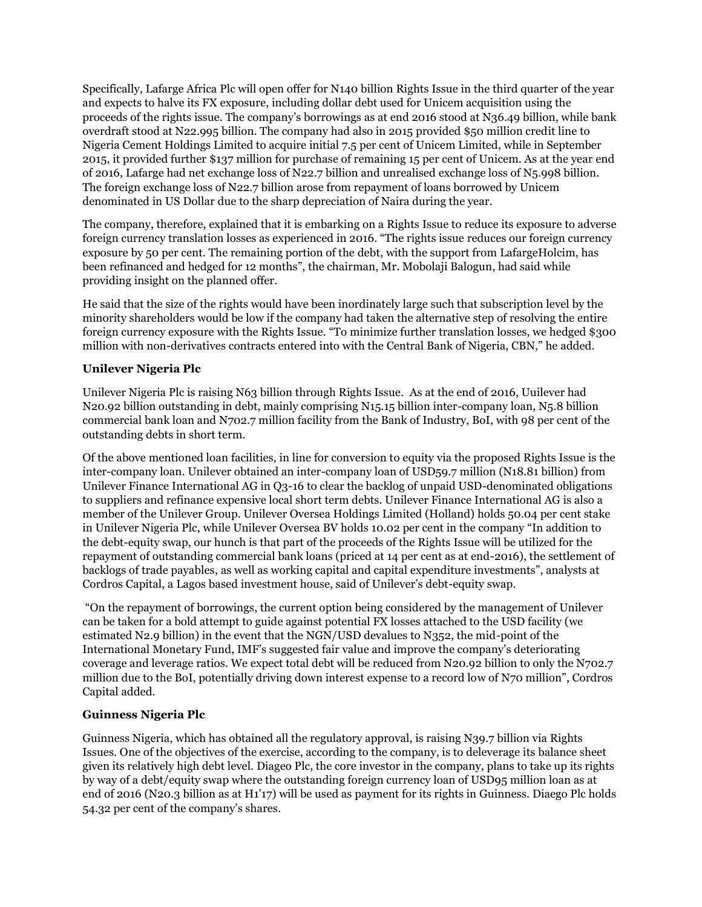Specifically, Lafarge Africa Plc will open offer for N140 billion Rights Issue in the third quarter of the year and expects to halve its FX exposure, including dollar debt used for Unicem acquisition using the proceeds of the rights issue. The company's borrowings as at end 2016 stood at N36.49 billion, while bank overdraft stood at N22.995 billion. The company had also in 2015 provided \$50 million credit line to Nigeria Cement Holdings Limited to acquire initial 7.5 per cent of Unicem Limited, while in September 2015, it provided further \$137 million for purchase of remaining 15 per cent of Unicem. As at the year end of 2016, Lafarge had net exchange loss of N22.7 billion and unrealised exchange loss of N5.998 billion. The foreign exchange loss of N22.7 billion arose from repayment of loans borrowed by Unicem denominated in US Dollar due to the sharp depreciation of Naira during the year.

The company, therefore, explained that it is embarking on a Rights Issue to reduce its exposure to adverse foreign currency translation losses as experienced in 2016. "The rights issue reduces our foreign currency exposure by 50 per cent. The remaining portion of the debt, with the support from LafargeHolcim, has been refinanced and hedged for 12 months", the chairman, Mr. Mobolaji Balogun, had said while providing insight on the planned offer.

He said that the size of the rights would have been inordinately large such that subscription level by the minority shareholders would be low if the company had taken the alternative step of resolving the entire foreign currency exposure with the Rights Issue. "To minimize further translation losses, we hedged \$300 million with non-derivatives contracts entered into with the Central Bank of Nigeria, CBN," he added.

## **Unilever Nigeria Plc**

Unilever Nigeria Plc is raising N63 billion through Rights Issue. As at the end of 2016, Uuilever had N20.92 billion outstanding in debt, mainly comprising N15.15 billion inter-company loan, N5.8 billion commercial bank loan and N702.7 million facility from the Bank of Industry, BoI, with 98 per cent of the outstanding debts in short term.

Of the above mentioned loan facilities, in line for conversion to equity via the proposed Rights Issue is the inter-company loan. Unilever obtained an inter-company loan of USD59.7 million (N18.81 billion) from Unilever Finance International AG in Q3-16 to clear the backlog of unpaid USD-denominated obligations to suppliers and refinance expensive local short term debts. Unilever Finance International AG is also a member of the Unilever Group. Unilever Oversea Holdings Limited (Holland) holds 50.04 per cent stake in Unilever Nigeria Plc, while Unilever Oversea BV holds 10.02 per cent in the company "In addition to the debt-equity swap, our hunch is that part of the proceeds of the Rights Issue will be utilized for the repayment of outstanding commercial bank loans (priced at 14 per cent as at end-2016), the settlement of backlogs of trade payables, as well as working capital and capital expenditure investments", analysts at Cordros Capital, a Lagos based investment house, said of Unilever's debt-equity swap.

"On the repayment of borrowings, the current option being considered by the management of Unilever can be taken for a bold attempt to guide against potential FX losses attached to the USD facility (we estimated N2.9 billion) in the event that the NGN/USD devalues to N352, the mid-point of the International Monetary Fund, IMF's suggested fair value and improve the company's deteriorating coverage and leverage ratios. We expect total debt will be reduced from N20.92 billion to only the N702.7 million due to the BoI, potentially driving down interest expense to a record low of N70 million", Cordros Capital added.

## **Guinness Nigeria Plc**

Guinness Nigeria, which has obtained all the regulatory approval, is raising N39.7 billion via Rights Issues. One of the objectives of the exercise, according to the company, is to deleverage its balance sheet given its relatively high debt level. Diageo Plc, the core investor in the company, plans to take up its rights by way of a debt/equity swap where the outstanding foreign currency loan of USD95 million loan as at end of 2016 (N20.3 billion as at H1'17) will be used as payment for its rights in Guinness. Diaego Plc holds 54.32 per cent of the company's shares.